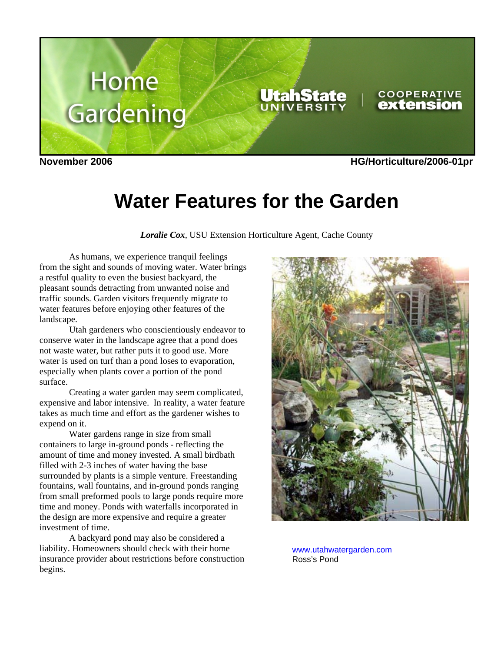

**Water Features for the Garden**

*Loralie Cox*, USU Extension Horticulture Agent, Cache County

 As humans, we experience tranquil feelings from the sight and sounds of moving water. Water brings a restful quality to even the busiest backyard, the pleasant sounds detracting from unwanted noise and traffic sounds. Garden visitors frequently migrate to water features before enjoying other features of the landscape.

 Utah gardeners who conscientiously endeavor to conserve water in the landscape agree that a pond does not waste water, but rather puts it to good use. More water is used on turf than a pond loses to evaporation, especially when plants cover a portion of the pond surface.

 Creating a water garden may seem complicated, expensive and labor intensive. In reality, a water feature takes as much time and effort as the gardener wishes to expend on it.

 Water gardens range in size from small containers to large in-ground ponds - reflecting the amount of time and money invested. A small birdbath filled with 2-3 inches of water having the base surrounded by plants is a simple venture. Freestanding fountains, wall fountains, and in-ground ponds ranging from small preformed pools to large ponds require more time and money. Ponds with waterfalls incorporated in the design are more expensive and require a greater investment of time.

 A backyard pond may also be considered a liability. Homeowners should check with their home insurance provider about restrictions before construction begins.



www.utahwatergarden.com Ross's Pond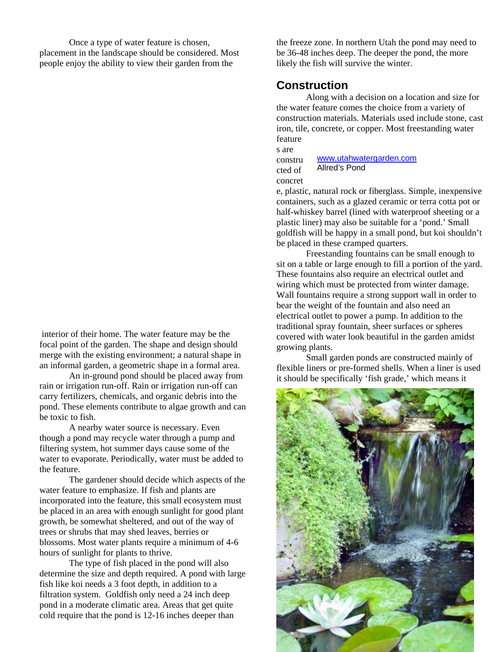Once a type of water feature is chosen, placement in the landscape should be considered. Most people enjoy the ability to view their garden from the

 interior of their home. The water feature may be the focal point of the garden. The shape and design should merge with the existing environment; a natural shape in an informal garden, a geometric shape in a formal area.

 An in-ground pond should be placed away from rain or irrigation run-off. Rain or irrigation run-off can carry fertilizers, chemicals, and organic debris into the pond. These elements contribute to algae growth and can be toxic to fish.

 A nearby water source is necessary. Even though a pond may recycle water through a pump and filtering system, hot summer days cause some of the water to evaporate. Periodically, water must be added to the feature.

 The gardener should decide which aspects of the water feature to emphasize. If fish and plants are incorporated into the feature, this small ecosystem must be placed in an area with enough sunlight for good plant growth, be somewhat sheltered, and out of the way of trees or shrubs that may shed leaves, berries or blossoms. Most water plants require a minimum of 4-6 hours of sunlight for plants to thrive.

 The type of fish placed in the pond will also determine the size and depth required. A pond with large fish like koi needs a 3 foot depth, in addition to a filtration system. Goldfish only need a 24 inch deep pond in a moderate climatic area. Areas that get quite cold require that the pond is 12-16 inches deeper than

the freeze zone. In northern Utah the pond may need to be 36-48 inches deep. The deeper the pond, the more likely the fish will survive the winter.

#### **Construction**

 Along with a decision on a location and size for the water feature comes the choice from a variety of construction materials. Materials used include stone, cast iron, tile, concrete, or copper. Most freestanding water feature

s are

constru cted of concret www.utahwatergarden.com Allred's Pond

e, plastic, natural rock or fiberglass. Simple, inexpensive containers, such as a glazed ceramic or terra cotta pot or half-whiskey barrel (lined with waterproof sheeting or a plastic liner) may also be suitable for a 'pond.' Small goldfish will be happy in a small pond, but koi shouldn't be placed in these cramped quarters.

 Freestanding fountains can be small enough to sit on a table or large enough to fill a portion of the yard. These fountains also require an electrical outlet and wiring which must be protected from winter damage. Wall fountains require a strong support wall in order to bear the weight of the fountain and also need an electrical outlet to power a pump. In addition to the traditional spray fountain, sheer surfaces or spheres covered with water look beautiful in the garden amidst growing plants.

 Small garden ponds are constructed mainly of flexible liners or pre-formed shells. When a liner is used it should be specifically 'fish grade,' which means it

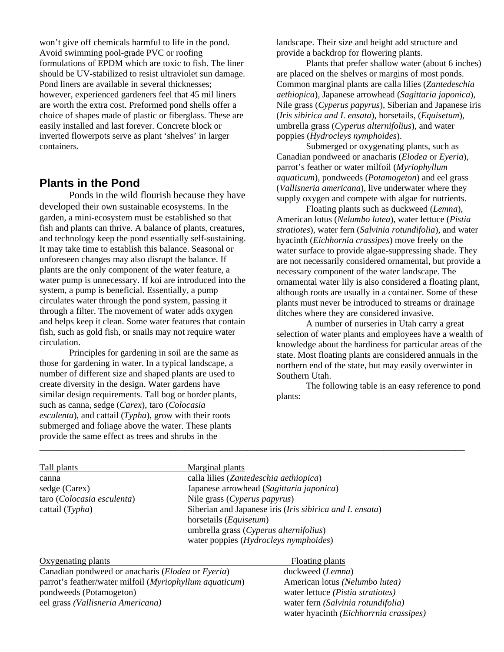won't give off chemicals harmful to life in the pond. Avoid swimming pool-grade PVC or roofing formulations of EPDM which are toxic to fish. The liner should be UV-stabilized to resist ultraviolet sun damage. Pond liners are available in several thicknesses; however, experienced gardeners feel that 45 mil liners are worth the extra cost. Preformed pond shells offer a choice of shapes made of plastic or fiberglass. These are easily installed and last forever. Concrete block or inverted flowerpots serve as plant 'shelves' in larger containers.

### **Plants in the Pond**

 Ponds in the wild flourish because they have developed their own sustainable ecosystems. In the garden, a mini-ecosystem must be established so that fish and plants can thrive. A balance of plants, creatures, and technology keep the pond essentially self-sustaining. It may take time to establish this balance. Seasonal or unforeseen changes may also disrupt the balance. If plants are the only component of the water feature, a water pump is unnecessary. If koi are introduced into the system, a pump is beneficial. Essentially, a pump circulates water through the pond system, passing it through a filter. The movement of water adds oxygen and helps keep it clean. Some water features that contain fish, such as gold fish, or snails may not require water circulation.

 Principles for gardening in soil are the same as those for gardening in water. In a typical landscape, a number of different size and shaped plants are used to create diversity in the design. Water gardens have similar design requirements. Tall bog or border plants, such as canna, sedge (*Carex*), taro (*Colocasia esculenta*), and cattail (*Typha*), grow with their roots submerged and foliage above the water. These plants provide the same effect as trees and shrubs in the

landscape. Their size and height add structure and provide a backdrop for flowering plants.

 Plants that prefer shallow water (about 6 inches) are placed on the shelves or margins of most ponds. Common marginal plants are calla lilies (*Zantedeschia aethiopica*), Japanese arrowhead (*Sagittaria japonica*), Nile grass (*Cyperus papyrus*), Siberian and Japanese iris (*Iris sibirica and I. ensata*), horsetails, (*Equisetum*), umbrella grass (*Cyperus alternifolius*), and water poppies (*Hydrocleys nymphoides*).

 Submerged or oxygenating plants, such as Canadian pondweed or anacharis (*Elodea* or *Eyeria*), parrot's feather or water milfoil (*Myriophyllum aquaticum*), pondweeds (*Potamogeton*) and eel grass (*Vallisneria americana*), live underwater where they supply oxygen and compete with algae for nutrients.

 Floating plants such as duckweed (*Lemna*), American lotus (*Nelumbo lutea*), water lettuce (*Pistia stratiotes*), water fern (*Salvinia rotundifolia*), and water hyacinth (*Eichhornia crassipes*) move freely on the water surface to provide algae-suppressing shade. They are not necessarily considered ornamental, but provide a necessary component of the water landscape. The ornamental water lily is also considered a floating plant, although roots are usually in a container. Some of these plants must never be introduced to streams or drainage ditches where they are considered invasive.

 A number of nurseries in Utah carry a great selection of water plants and employees have a wealth of knowledge about the hardiness for particular areas of the state. Most floating plants are considered annuals in the northern end of the state, but may easily overwinter in Southern Utah.

 The following table is an easy reference to pond plants:

| Tall plants                | Marginal plants                                                                             |
|----------------------------|---------------------------------------------------------------------------------------------|
| canna                      | calla lilies (Zantedeschia aethiopica)                                                      |
| sedge (Carex)              | Japanese arrowhead (Sagittaria japonica)                                                    |
| taro (Colocasia esculenta) | Nile grass (Cyperus papyrus)                                                                |
| cattail $(Typha)$          | Siberian and Japanese iris (Iris sibirica and I. ensata)<br>horsetails ( <i>Equisetum</i> ) |
|                            | umbrella grass (Cyperus alternifolius)                                                      |
|                            | water poppies (Hydrocleys nymphoides)                                                       |

\_\_\_\_\_\_\_\_\_\_\_\_\_\_\_\_\_\_\_\_\_\_\_\_\_\_\_\_\_\_\_\_\_\_\_\_\_\_\_\_\_\_\_\_\_\_\_\_\_\_\_\_\_\_\_\_\_\_\_\_\_\_\_\_\_\_\_\_\_\_\_\_\_\_\_\_\_\_\_\_\_\_\_\_\_\_\_\_\_\_\_\_\_\_

#### Oxygenating plants Floating plants

Canadian pondweed or anacharis (*Elodea* or *Eyeria*) duckweed (*Lemna*) parrot's feather/water milfoil (*Myriophyllum aquaticum*) American lotus *(Nelumbo lutea)* pondweeds (Potamogeton) water lettuce *(Pistia stratiotes)* eel grass *(Vallisneria Americana)* water fern *(Salvinia rotundifolia)*

water hyacinth *(Eichhorrnia crassipes)*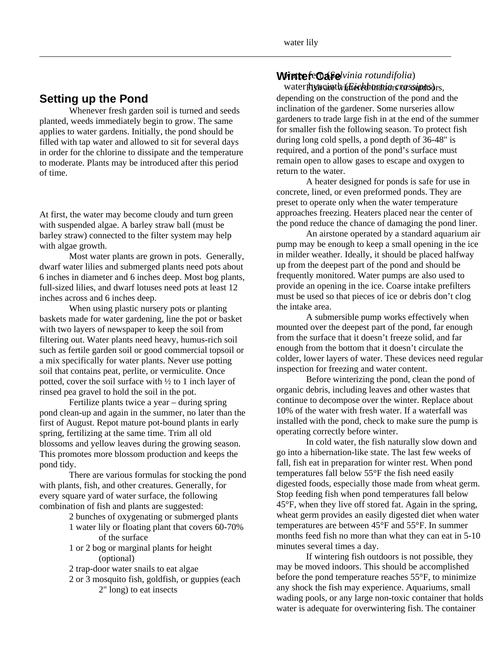## **Setting up the Pond**

Whenever fresh garden soil is turned and seeds planted, weeds immediately begin to grow. The same applies to water gardens. Initially, the pond should be filled with tap water and allowed to sit for several days in order for the chlorine to dissipate and the temperature to moderate. Plants may be introduced after this period of time.

At first, the water may become cloudy and turn green with suspended algae. A barley straw ball (must be barley straw) connected to the filter system may help with algae growth.

 Most water plants are grown in pots. Generally, dwarf water lilies and submerged plants need pots about 6 inches in diameter and 6 inches deep. Most bog plants, full-sized lilies, and dwarf lotuses need pots at least 12 inches across and 6 inches deep.

 When using plastic nursery pots or planting baskets made for water gardening, line the pot or basket with two layers of newspaper to keep the soil from filtering out. Water plants need heavy, humus-rich soil such as fertile garden soil or good commercial topsoil or a mix specifically for water plants. Never use potting soil that contains peat, perlite, or vermiculite. Once potted, cover the soil surface with ½ to 1 inch layer of rinsed pea gravel to hold the soil in the pot.

 Fertilize plants twice a year – during spring pond clean-up and again in the summer, no later than the first of August. Repot mature pot-bound plants in early spring, fertilizing at the same time. Trim all old blossoms and yellow leaves during the growing season. This promotes more blossom production and keeps the pond tidy.

 There are various formulas for stocking the pond with plants, fish, and other creatures. Generally, for every square yard of water surface, the following combination of fish and plants are suggested:

2 bunches of oxygenating or submerged plants

- 1 water lily or floating plant that covers 60-70% of the surface
- 1 or 2 bog or marginal plants for height (optional)

2 trap-door water snails to eat algae

 2 or 3 mosquito fish, goldfish, or guppies (each 2" long) to eat insects

## *Winter fermalifolia*  $\mathbf{W}$

water **hyacinth (***dieebhora***tions rerssipts**) rs,

depending on the construction of the pond and the inclination of the gardener. Some nurseries allow gardeners to trade large fish in at the end of the summer for smaller fish the following season. To protect fish during long cold spells, a pond depth of 36-48" is required, and a portion of the pond's surface must remain open to allow gases to escape and oxygen to return to the water.

 A heater designed for ponds is safe for use in concrete, lined, or even preformed ponds. They are preset to operate only when the water temperature approaches freezing. Heaters placed near the center of the pond reduce the chance of damaging the pond liner.

 An airstone operated by a standard aquarium air pump may be enough to keep a small opening in the ice in milder weather. Ideally, it should be placed halfway up from the deepest part of the pond and should be frequently monitored. Water pumps are also used to provide an opening in the ice. Coarse intake prefilters must be used so that pieces of ice or debris don't clog the intake area.

 A submersible pump works effectively when mounted over the deepest part of the pond, far enough from the surface that it doesn't freeze solid, and far enough from the bottom that it doesn't circulate the colder, lower layers of water. These devices need regular inspection for freezing and water content.

 Before winterizing the pond, clean the pond of organic debris, including leaves and other wastes that continue to decompose over the winter. Replace about 10% of the water with fresh water. If a waterfall was installed with the pond, check to make sure the pump is operating correctly before winter.

 In cold water, the fish naturally slow down and go into a hibernation-like state. The last few weeks of fall, fish eat in preparation for winter rest. When pond temperatures fall below 55°F the fish need easily digested foods, especially those made from wheat germ. Stop feeding fish when pond temperatures fall below 45°F, when they live off stored fat. Again in the spring, wheat germ provides an easily digested diet when water temperatures are between 45°F and 55°F. In summer months feed fish no more than what they can eat in 5-10 minutes several times a day.

 If wintering fish outdoors is not possible, they may be moved indoors. This should be accomplished before the pond temperature reaches 55°F, to minimize any shock the fish may experience. Aquariums, small wading pools, or any large non-toxic container that holds water is adequate for overwintering fish. The container